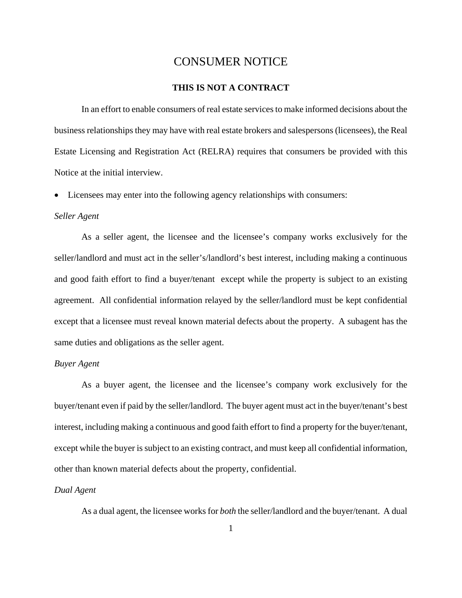## CONSUMER NOTICE

## **THIS IS NOT A CONTRACT**

 In an effort to enable consumers of real estate services to make informed decisions about the business relationships they may have with real estate brokers and salespersons (licensees), the Real Estate Licensing and Registration Act (RELRA) requires that consumers be provided with this Notice at the initial interview.

• Licensees may enter into the following agency relationships with consumers:

#### *Seller Agent*

 As a seller agent, the licensee and the licensee's company works exclusively for the seller/landlord and must act in the seller's/landlord's best interest, including making a continuous and good faith effort to find a buyer/tenant except while the property is subject to an existing agreement. All confidential information relayed by the seller/landlord must be kept confidential except that a licensee must reveal known material defects about the property. A subagent has the same duties and obligations as the seller agent.

#### *Buyer Agent*

 As a buyer agent, the licensee and the licensee's company work exclusively for the buyer/tenant even if paid by the seller/landlord. The buyer agent must act in the buyer/tenant's best interest, including making a continuous and good faith effort to find a property for the buyer/tenant, except while the buyer is subject to an existing contract, and must keep all confidential information, other than known material defects about the property, confidential.

### *Dual Agent*

As a dual agent, the licensee works for *both* the seller/landlord and the buyer/tenant. A dual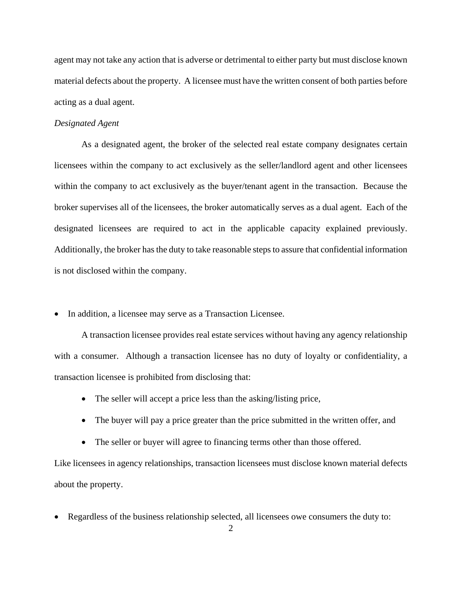agent may not take any action that is adverse or detrimental to either party but must disclose known material defects about the property. A licensee must have the written consent of both parties before acting as a dual agent.

#### *Designated Agent*

 As a designated agent, the broker of the selected real estate company designates certain licensees within the company to act exclusively as the seller/landlord agent and other licensees within the company to act exclusively as the buyer/tenant agent in the transaction. Because the broker supervises all of the licensees, the broker automatically serves as a dual agent. Each of the designated licensees are required to act in the applicable capacity explained previously. Additionally, the broker has the duty to take reasonable steps to assure that confidential information is not disclosed within the company.

• In addition, a licensee may serve as a Transaction Licensee.

 A transaction licensee provides real estate services without having any agency relationship with a consumer. Although a transaction licensee has no duty of loyalty or confidentiality, a transaction licensee is prohibited from disclosing that:

- The seller will accept a price less than the asking/listing price,
- The buyer will pay a price greater than the price submitted in the written offer, and
- The seller or buyer will agree to financing terms other than those offered.

Like licensees in agency relationships, transaction licensees must disclose known material defects about the property.

• Regardless of the business relationship selected, all licensees owe consumers the duty to: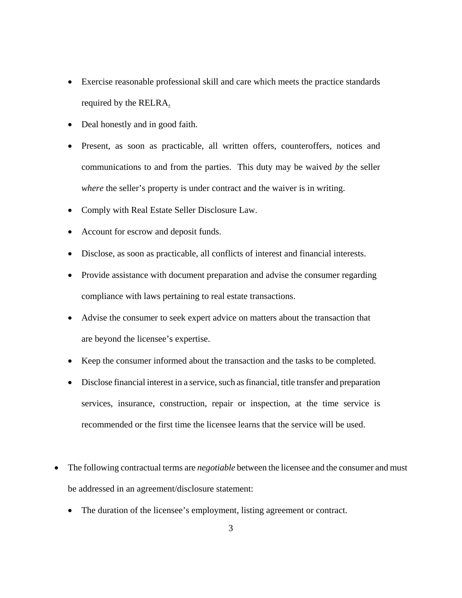- Exercise reasonable professional skill and care which meets the practice standards required by the RELRA.
- Deal honestly and in good faith.
- Present, as soon as practicable, all written offers, counteroffers, notices and communications to and from the parties. This duty may be waived *by* the seller *where* the seller's property is under contract and the waiver is in writing.
- Comply with Real Estate Seller Disclosure Law.
- Account for escrow and deposit funds.
- Disclose, as soon as practicable, all conflicts of interest and financial interests.
- Provide assistance with document preparation and advise the consumer regarding compliance with laws pertaining to real estate transactions.
- Advise the consumer to seek expert advice on matters about the transaction that are beyond the licensee's expertise.
- Keep the consumer informed about the transaction and the tasks to be completed.
- Disclose financial interest in a service, such as financial, title transfer and preparation services, insurance, construction, repair or inspection, at the time service is recommended or the first time the licensee learns that the service will be used.
- The following contractual terms are *negotiable* between the licensee and the consumer and must be addressed in an agreement/disclosure statement:
	- The duration of the licensee's employment, listing agreement or contract.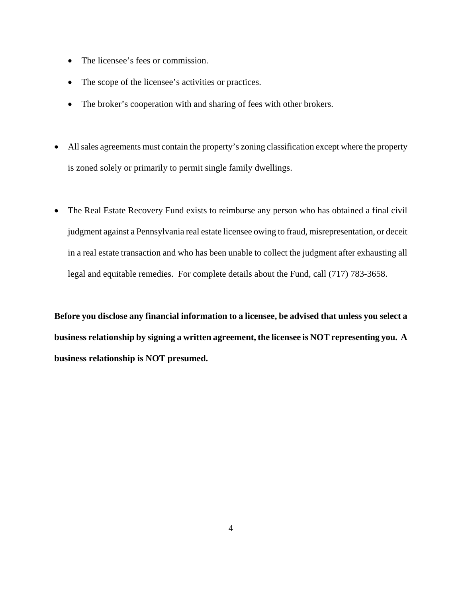- The licensee's fees or commission.
- The scope of the licensee's activities or practices.
- The broker's cooperation with and sharing of fees with other brokers.
- All sales agreements must contain the property's zoning classification except where the property is zoned solely or primarily to permit single family dwellings.
- The Real Estate Recovery Fund exists to reimburse any person who has obtained a final civil judgment against a Pennsylvania real estate licensee owing to fraud, misrepresentation, or deceit in a real estate transaction and who has been unable to collect the judgment after exhausting all legal and equitable remedies. For complete details about the Fund, call (717) 783-3658.

**Before you disclose any financial information to a licensee, be advised that unless you select a business relationship by signing a written agreement, the licensee is NOT representing you. A business relationship is NOT presumed.**